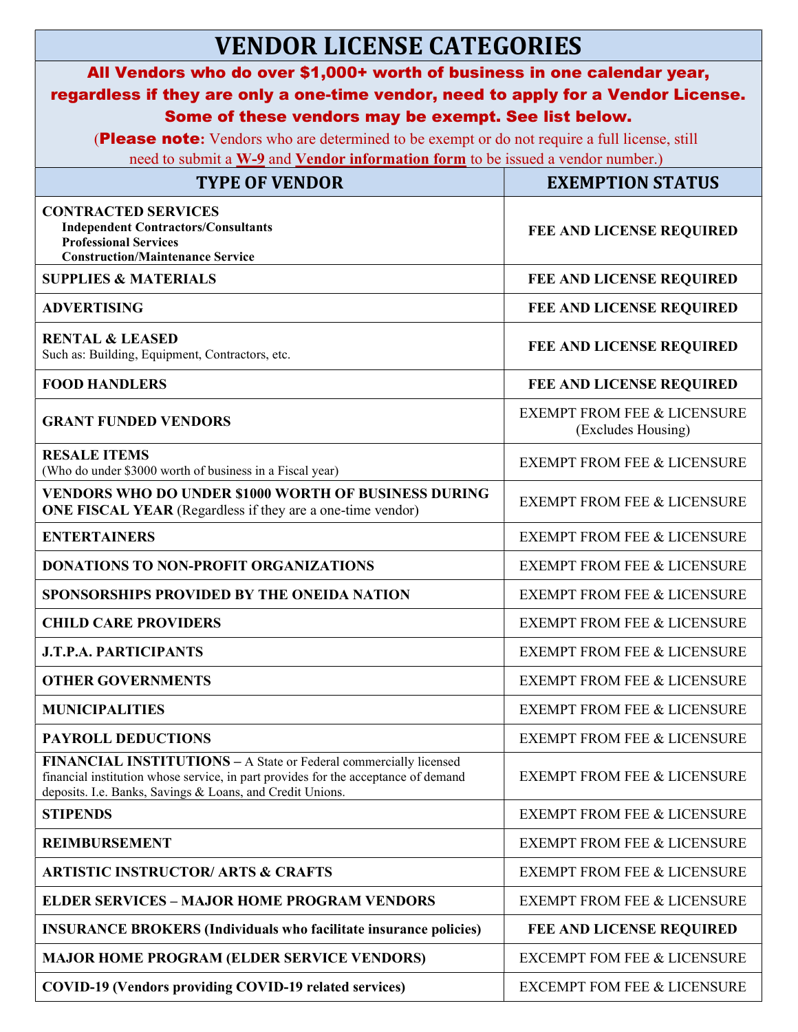## VENDOR LICENSE CATEGORIES

All Vendors who do over \$1,000+ worth of business in one calendar year,

regardless if they are only a one-time vendor, need to apply for a Vendor License. Some of these vendors may be exempt. See list below.

(Please note: Vendors who are determined to be exempt or do not require a full license, still need to submit a W-9 and Vendor information form to be issued a vendor number.)

| <b>TYPE OF VENDOR</b>                                                                                                                                                                                                | <b>EXEMPTION STATUS</b>                                      |
|----------------------------------------------------------------------------------------------------------------------------------------------------------------------------------------------------------------------|--------------------------------------------------------------|
| <b>CONTRACTED SERVICES</b><br><b>Independent Contractors/Consultants</b><br><b>Professional Services</b><br><b>Construction/Maintenance Service</b>                                                                  | <b>FEE AND LICENSE REQUIRED</b>                              |
| <b>SUPPLIES &amp; MATERIALS</b>                                                                                                                                                                                      | <b>FEE AND LICENSE REQUIRED</b>                              |
| <b>ADVERTISING</b>                                                                                                                                                                                                   | <b>FEE AND LICENSE REQUIRED</b>                              |
| <b>RENTAL &amp; LEASED</b><br>Such as: Building, Equipment, Contractors, etc.                                                                                                                                        | FEE AND LICENSE REQUIRED                                     |
| <b>FOOD HANDLERS</b>                                                                                                                                                                                                 | <b>FEE AND LICENSE REQUIRED</b>                              |
| <b>GRANT FUNDED VENDORS</b>                                                                                                                                                                                          | <b>EXEMPT FROM FEE &amp; LICENSURE</b><br>(Excludes Housing) |
| <b>RESALE ITEMS</b><br>(Who do under \$3000 worth of business in a Fiscal year)                                                                                                                                      | <b>EXEMPT FROM FEE &amp; LICENSURE</b>                       |
| <b>VENDORS WHO DO UNDER \$1000 WORTH OF BUSINESS DURING</b><br><b>ONE FISCAL YEAR</b> (Regardless if they are a one-time vendor)                                                                                     | <b>EXEMPT FROM FEE &amp; LICENSURE</b>                       |
| <b>ENTERTAINERS</b>                                                                                                                                                                                                  | <b>EXEMPT FROM FEE &amp; LICENSURE</b>                       |
| <b>DONATIONS TO NON-PROFIT ORGANIZATIONS</b>                                                                                                                                                                         | <b>EXEMPT FROM FEE &amp; LICENSURE</b>                       |
| <b>SPONSORSHIPS PROVIDED BY THE ONEIDA NATION</b>                                                                                                                                                                    | <b>EXEMPT FROM FEE &amp; LICENSURE</b>                       |
| <b>CHILD CARE PROVIDERS</b>                                                                                                                                                                                          | <b>EXEMPT FROM FEE &amp; LICENSURE</b>                       |
| <b>J.T.P.A. PARTICIPANTS</b>                                                                                                                                                                                         | <b>EXEMPT FROM FEE &amp; LICENSURE</b>                       |
| <b>OTHER GOVERNMENTS</b>                                                                                                                                                                                             | <b>EXEMPT FROM FEE &amp; LICENSURE</b>                       |
| <b>MUNICIPALITIES</b>                                                                                                                                                                                                | <b>EXEMPT FROM FEE &amp; LICENSURE</b>                       |
| <b>PAYROLL DEDUCTIONS</b>                                                                                                                                                                                            | <b>EXEMPT FROM FEE &amp; LICENSURE</b>                       |
| FINANCIAL INSTITUTIONS - A State or Federal commercially licensed<br>financial institution whose service, in part provides for the acceptance of demand<br>deposits. I.e. Banks, Savings & Loans, and Credit Unions. | <b>EXEMPT FROM FEE &amp; LICENSURE</b>                       |
| <b>STIPENDS</b>                                                                                                                                                                                                      | <b>EXEMPT FROM FEE &amp; LICENSURE</b>                       |
| <b>REIMBURSEMENT</b>                                                                                                                                                                                                 | <b>EXEMPT FROM FEE &amp; LICENSURE</b>                       |
| <b>ARTISTIC INSTRUCTOR/ ARTS &amp; CRAFTS</b>                                                                                                                                                                        | <b>EXEMPT FROM FEE &amp; LICENSURE</b>                       |
| <b>ELDER SERVICES - MAJOR HOME PROGRAM VENDORS</b>                                                                                                                                                                   | <b>EXEMPT FROM FEE &amp; LICENSURE</b>                       |
| <b>INSURANCE BROKERS (Individuals who facilitate insurance policies)</b>                                                                                                                                             | <b>FEE AND LICENSE REQUIRED</b>                              |
| <b>MAJOR HOME PROGRAM (ELDER SERVICE VENDORS)</b>                                                                                                                                                                    | <b>EXCEMPT FOM FEE &amp; LICENSURE</b>                       |
| <b>COVID-19 (Vendors providing COVID-19 related services)</b>                                                                                                                                                        | <b>EXCEMPT FOM FEE &amp; LICENSURE</b>                       |